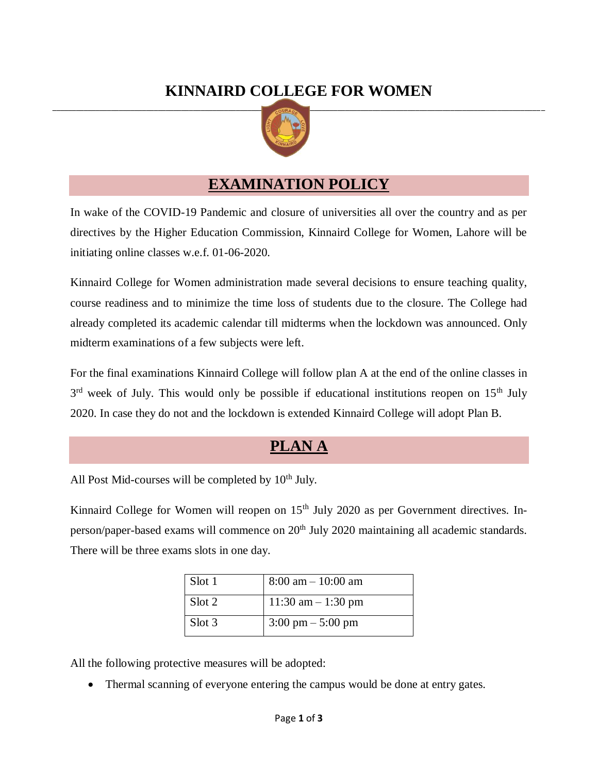# **KINNAIRD COLLEGE FOR WOMEN**



## **EXAMINATION POLICY**

In wake of the COVID-19 Pandemic and closure of universities all over the country and as per directives by the Higher Education Commission, Kinnaird College for Women, Lahore will be initiating online classes w.e.f. 01-06-2020.

Kinnaird College for Women administration made several decisions to ensure teaching quality, course readiness and to minimize the time loss of students due to the closure. The College had already completed its academic calendar till midterms when the lockdown was announced. Only midterm examinations of a few subjects were left.

For the final examinations Kinnaird College will follow plan A at the end of the online classes in  $3<sup>rd</sup>$  week of July. This would only be possible if educational institutions reopen on 15<sup>th</sup> July 2020. In case they do not and the lockdown is extended Kinnaird College will adopt Plan B.

# **PLAN A**

All Post Mid-courses will be completed by  $10<sup>th</sup>$  July.

Kinnaird College for Women will reopen on 15<sup>th</sup> July 2020 as per Government directives. Inperson/paper-based exams will commence on  $20<sup>th</sup>$  July 2020 maintaining all academic standards. There will be three exams slots in one day.

| Slot 1 | $8:00$ am $-10:00$ am               |
|--------|-------------------------------------|
| Slot 2 | 11:30 am $-$ 1:30 pm                |
| Slot 3 | $3:00 \text{ pm} - 5:00 \text{ pm}$ |

All the following protective measures will be adopted:

Thermal scanning of everyone entering the campus would be done at entry gates.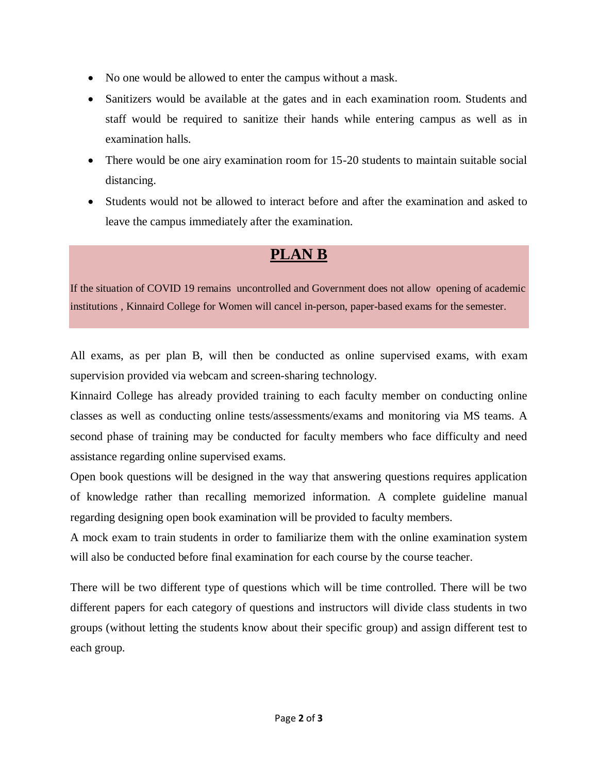- No one would be allowed to enter the campus without a mask.
- Sanitizers would be available at the gates and in each examination room. Students and staff would be required to sanitize their hands while entering campus as well as in examination halls.
- There would be one airy examination room for 15-20 students to maintain suitable social distancing.
- Students would not be allowed to interact before and after the examination and asked to leave the campus immediately after the examination.

# **PLAN B**

If the situation of COVID 19 remains uncontrolled and Government does not allow opening of academic institutions , Kinnaird College for Women will cancel in-person, paper-based exams for the semester.

All exams, as per plan B, will then be conducted as online supervised exams, with exam supervision provided via webcam and screen-sharing technology.

Kinnaird College has already provided training to each faculty member on conducting online classes as well as conducting online tests/assessments/exams and monitoring via MS teams. A second phase of training may be conducted for faculty members who face difficulty and need assistance regarding online supervised exams.

Open book questions will be designed in the way that answering questions requires application of knowledge rather than recalling memorized information. A complete guideline manual regarding designing open book examination will be provided to faculty members.

A mock exam to train students in order to familiarize them with the online examination system will also be conducted before final examination for each course by the course teacher.

There will be two different type of questions which will be time controlled. There will be two different papers for each category of questions and instructors will divide class students in two groups (without letting the students know about their specific group) and assign different test to each group.